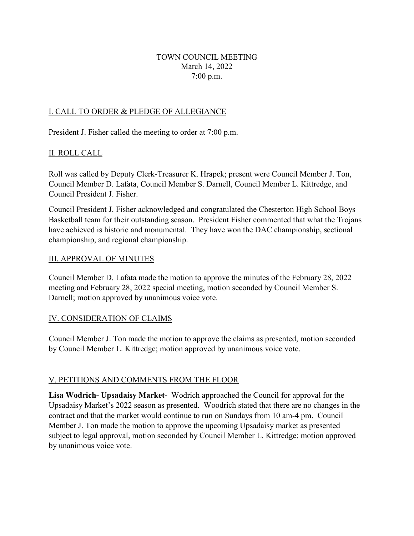## TOWN COUNCIL MEETING March 14, 2022 7:00 p.m.

# I. CALL TO ORDER & PLEDGE OF ALLEGIANCE

President J. Fisher called the meeting to order at 7:00 p.m.

## II. ROLL CALL

Roll was called by Deputy Clerk-Treasurer K. Hrapek; present were Council Member J. Ton, Council Member D. Lafata, Council Member S. Darnell, Council Member L. Kittredge, and Council President J. Fisher.

Council President J. Fisher acknowledged and congratulated the Chesterton High School Boys Basketball team for their outstanding season. President Fisher commented that what the Trojans have achieved is historic and monumental. They have won the DAC championship, sectional championship, and regional championship.

### III. APPROVAL OF MINUTES

Council Member D. Lafata made the motion to approve the minutes of the February 28, 2022 meeting and February 28, 2022 special meeting, motion seconded by Council Member S. Darnell; motion approved by unanimous voice vote.

## IV. CONSIDERATION OF CLAIMS

Council Member J. Ton made the motion to approve the claims as presented, motion seconded by Council Member L. Kittredge; motion approved by unanimous voice vote.

## V. PETITIONS AND COMMENTS FROM THE FLOOR

**Lisa Wodrich- Upsadaisy Market-** Wodrich approached the Council for approval for the Upsadaisy Market's 2022 season as presented. Woodrich stated that there are no changes in the contract and that the market would continue to run on Sundays from 10 am-4 pm. Council Member J. Ton made the motion to approve the upcoming Upsadaisy market as presented subject to legal approval, motion seconded by Council Member L. Kittredge; motion approved by unanimous voice vote.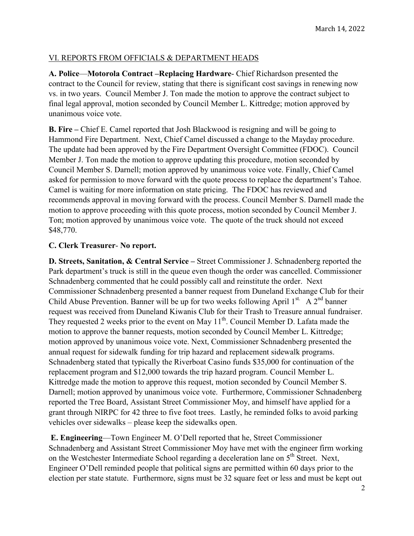# VI. REPORTS FROM OFFICIALS & DEPARTMENT HEADS

**A. Police**—**Motorola Contract –Replacing Hardware**- Chief Richardson presented the contract to the Council for review, stating that there is significant cost savings in renewing now vs. in two years. Council Member J. Ton made the motion to approve the contract subject to final legal approval, motion seconded by Council Member L. Kittredge; motion approved by unanimous voice vote.

**B. Fire** – Chief E. Camel reported that Josh Blackwood is resigning and will be going to Hammond Fire Department. Next, Chief Camel discussed a change to the Mayday procedure. The update had been approved by the Fire Department Oversight Committee (FDOC). Council Member J. Ton made the motion to approve updating this procedure, motion seconded by Council Member S. Darnell; motion approved by unanimous voice vote. Finally, Chief Camel asked for permission to move forward with the quote process to replace the department's Tahoe. Camel is waiting for more information on state pricing. The FDOC has reviewed and recommends approval in moving forward with the process. Council Member S. Darnell made the motion to approve proceeding with this quote process, motion seconded by Council Member J. Ton; motion approved by unanimous voice vote. The quote of the truck should not exceed \$48,770.

## **C. Clerk Treasurer**- **No report.**

**D. Streets, Sanitation, & Central Service –** Street Commissioner J. Schnadenberg reported the Park department's truck is still in the queue even though the order was cancelled. Commissioner Schnadenberg commented that he could possibly call and reinstitute the order. Next Commissioner Schnadenberg presented a banner request from Duneland Exchange Club for their Child Abuse Prevention. Banner will be up for two weeks following April 1<sup>st.</sup> A 2<sup>nd</sup> banner request was received from Duneland Kiwanis Club for their Trash to Treasure annual fundraiser. They requested 2 weeks prior to the event on May  $11<sup>th</sup>$ . Council Member D. Lafata made the motion to approve the banner requests, motion seconded by Council Member L. Kittredge; motion approved by unanimous voice vote. Next, Commissioner Schnadenberg presented the annual request for sidewalk funding for trip hazard and replacement sidewalk programs. Schnadenberg stated that typically the Riverboat Casino funds \$35,000 for continuation of the replacement program and \$12,000 towards the trip hazard program. Council Member L. Kittredge made the motion to approve this request, motion seconded by Council Member S. Darnell; motion approved by unanimous voice vote. Furthermore, Commissioner Schnadenberg reported the Tree Board, Assistant Street Commissioner Moy, and himself have applied for a grant through NIRPC for 42 three to five foot trees. Lastly, he reminded folks to avoid parking vehicles over sidewalks – please keep the sidewalks open.

**E. Engineering**—Town Engineer M. O'Dell reported that he, Street Commissioner Schnadenberg and Assistant Street Commissioner Moy have met with the engineer firm working on the Westchester Intermediate School regarding a deceleration lane on 5<sup>th</sup> Street. Next, Engineer O'Dell reminded people that political signs are permitted within 60 days prior to the election per state statute. Furthermore, signs must be 32 square feet or less and must be kept out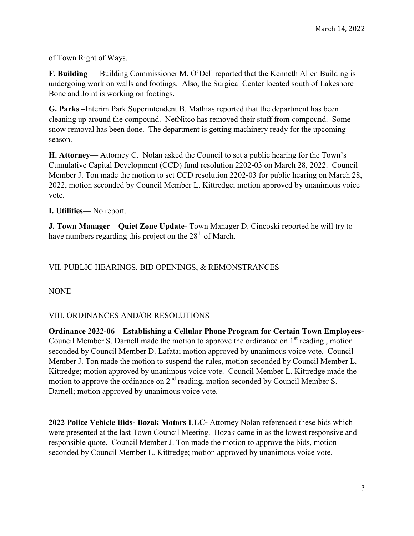of Town Right of Ways.

**F. Building** — Building Commissioner M. O'Dell reported that the Kenneth Allen Building is undergoing work on walls and footings. Also, the Surgical Center located south of Lakeshore Bone and Joint is working on footings.

**G. Parks –**Interim Park Superintendent B. Mathias reported that the department has been cleaning up around the compound. NetNitco has removed their stuff from compound. Some snow removal has been done. The department is getting machinery ready for the upcoming season.

**H. Attorney**— Attorney C. Nolan asked the Council to set a public hearing for the Town's Cumulative Capital Development (CCD) fund resolution 2202-03 on March 28, 2022. Council Member J. Ton made the motion to set CCD resolution 2202-03 for public hearing on March 28, 2022, motion seconded by Council Member L. Kittredge; motion approved by unanimous voice vote.

**I. Utilities**— No report.

**J. Town Manager**—**Quiet Zone Update-** Town Manager D. Cincoski reported he will try to have numbers regarding this project on the 28<sup>th</sup> of March.

# VII. PUBLIC HEARINGS, BID OPENINGS, & REMONSTRANCES

NONE

## VIII. ORDINANCES AND/OR RESOLUTIONS

**Ordinance 2022-06 – Establishing a Cellular Phone Program for Certain Town Employees-**Council Member S. Darnell made the motion to approve the ordinance on  $1<sup>st</sup>$  reading, motion seconded by Council Member D. Lafata; motion approved by unanimous voice vote. Council Member J. Ton made the motion to suspend the rules, motion seconded by Council Member L. Kittredge; motion approved by unanimous voice vote. Council Member L. Kittredge made the motion to approve the ordinance on 2<sup>nd</sup> reading, motion seconded by Council Member S. Darnell; motion approved by unanimous voice vote.

**2022 Police Vehicle Bids- Bozak Motors LLC-** Attorney Nolan referenced these bids which were presented at the last Town Council Meeting. Bozak came in as the lowest responsive and responsible quote. Council Member J. Ton made the motion to approve the bids, motion seconded by Council Member L. Kittredge; motion approved by unanimous voice vote.